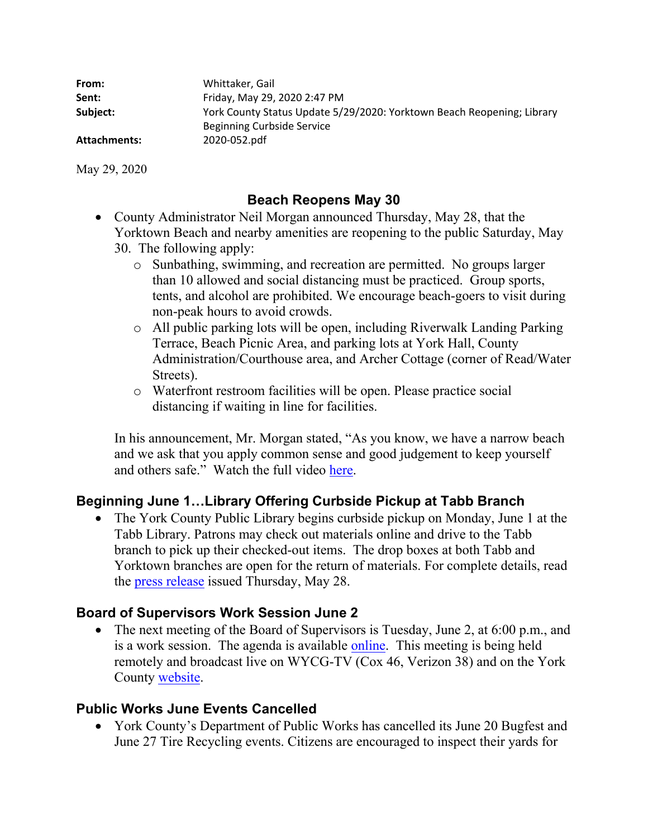| From:        | Whittaker, Gail                                                                                      |
|--------------|------------------------------------------------------------------------------------------------------|
| Sent:        | Friday, May 29, 2020 2:47 PM                                                                         |
| Subject:     | York County Status Update 5/29/2020: Yorktown Beach Reopening; Library<br>Beginning Curbside Service |
| Attachments: | 2020-052.pdf                                                                                         |

May 29, 2020

## **Beach Reopens May 30**

- County Administrator Neil Morgan announced Thursday, May 28, that the Yorktown Beach and nearby amenities are reopening to the public Saturday, May 30. The following apply:
	- o Sunbathing, swimming, and recreation are permitted. No groups larger than 10 allowed and social distancing must be practiced. Group sports, tents, and alcohol are prohibited. We encourage beach-goers to visit during non-peak hours to avoid crowds.
	- o All public parking lots will be open, including Riverwalk Landing Parking Terrace, Beach Picnic Area, and parking lots at York Hall, County Administration/Courthouse area, and Archer Cottage (corner of Read/Water Streets).
	- o Waterfront restroom facilities will be open. Please practice social distancing if waiting in line for facilities.

In his announcement, Mr. Morgan stated, "As you know, we have a narrow beach and we ask that you apply common sense and good judgement to keep yourself and others safe." Watch the full video here.

# **Beginning June 1…Library Offering Curbside Pickup at Tabb Branch**

• The York County Public Library begins curbside pickup on Monday, June 1 at the Tabb Library. Patrons may check out materials online and drive to the Tabb branch to pick up their checked-out items. The drop boxes at both Tabb and Yorktown branches are open for the return of materials. For complete details, read the press release issued Thursday, May 28.

# **Board of Supervisors Work Session June 2**

• The next meeting of the Board of Supervisors is Tuesday, June 2, at 6:00 p.m., and is a work session. The agenda is available online. This meeting is being held remotely and broadcast live on WYCG-TV (Cox 46, Verizon 38) and on the York County website.

### **Public Works June Events Cancelled**

 York County's Department of Public Works has cancelled its June 20 Bugfest and June 27 Tire Recycling events. Citizens are encouraged to inspect their yards for